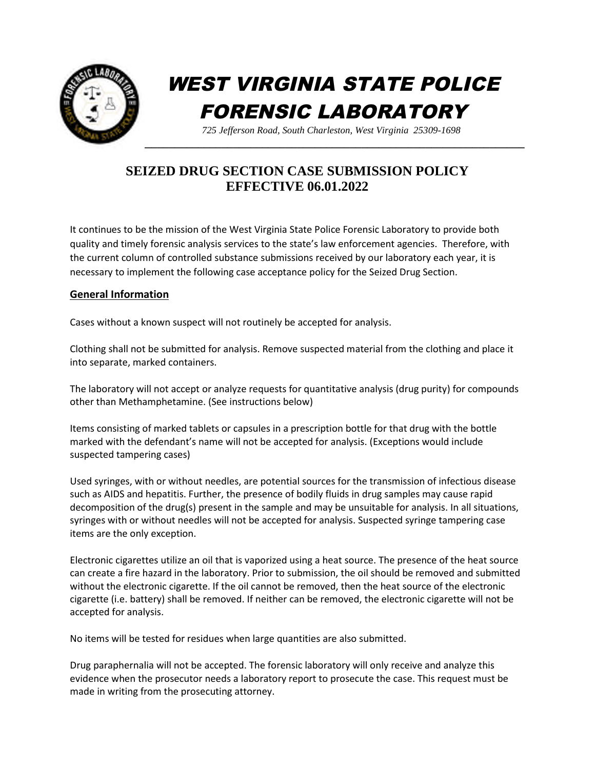

# WEST VIRGINIA STATE POLICE FORENSIC LABORATORY

*725 Jefferson Road, South Charleston, West Virginia 25309-1698*

# **SEIZED DRUG SECTION CASE SUBMISSION POLICY EFFECTIVE 06.01.2022**

It continues to be the mission of the West Virginia State Police Forensic Laboratory to provide both quality and timely forensic analysis services to the state's law enforcement agencies. Therefore, with the current column of controlled substance submissions received by our laboratory each year, it is necessary to implement the following case acceptance policy for the Seized Drug Section.

# **General Information**

Cases without a known suspect will not routinely be accepted for analysis.

Clothing shall not be submitted for analysis. Remove suspected material from the clothing and place it into separate, marked containers.

The laboratory will not accept or analyze requests for quantitative analysis (drug purity) for compounds other than Methamphetamine. (See instructions below)

Items consisting of marked tablets or capsules in a prescription bottle for that drug with the bottle marked with the defendant's name will not be accepted for analysis. (Exceptions would include suspected tampering cases)

Used syringes, with or without needles, are potential sources for the transmission of infectious disease such as AIDS and hepatitis. Further, the presence of bodily fluids in drug samples may cause rapid decomposition of the drug(s) present in the sample and may be unsuitable for analysis. In all situations, syringes with or without needles will not be accepted for analysis. Suspected syringe tampering case items are the only exception.

Electronic cigarettes utilize an oil that is vaporized using a heat source. The presence of the heat source can create a fire hazard in the laboratory. Prior to submission, the oil should be removed and submitted without the electronic cigarette. If the oil cannot be removed, then the heat source of the electronic cigarette (i.e. battery) shall be removed. If neither can be removed, the electronic cigarette will not be accepted for analysis.

No items will be tested for residues when large quantities are also submitted.

Drug paraphernalia will not be accepted. The forensic laboratory will only receive and analyze this evidence when the prosecutor needs a laboratory report to prosecute the case. This request must be made in writing from the prosecuting attorney.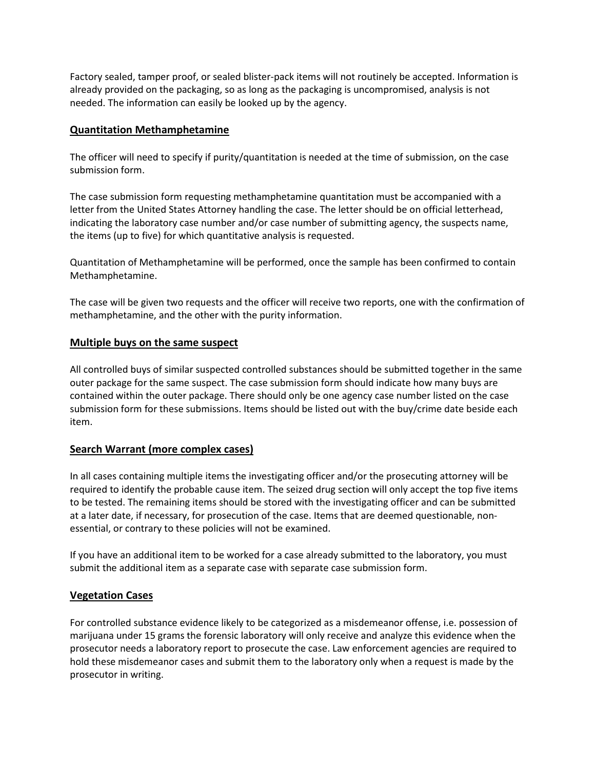Factory sealed, tamper proof, or sealed blister-pack items will not routinely be accepted. Information is already provided on the packaging, so as long as the packaging is uncompromised, analysis is not needed. The information can easily be looked up by the agency.

#### **Quantitation Methamphetamine**

The officer will need to specify if purity/quantitation is needed at the time of submission, on the case submission form.

The case submission form requesting methamphetamine quantitation must be accompanied with a letter from the United States Attorney handling the case. The letter should be on official letterhead, indicating the laboratory case number and/or case number of submitting agency, the suspects name, the items (up to five) for which quantitative analysis is requested.

Quantitation of Methamphetamine will be performed, once the sample has been confirmed to contain Methamphetamine.

The case will be given two requests and the officer will receive two reports, one with the confirmation of methamphetamine, and the other with the purity information.

#### **Multiple buys on the same suspect**

All controlled buys of similar suspected controlled substances should be submitted together in the same outer package for the same suspect. The case submission form should indicate how many buys are contained within the outer package. There should only be one agency case number listed on the case submission form for these submissions. Items should be listed out with the buy/crime date beside each item.

#### **Search Warrant (more complex cases)**

In all cases containing multiple items the investigating officer and/or the prosecuting attorney will be required to identify the probable cause item. The seized drug section will only accept the top five items to be tested. The remaining items should be stored with the investigating officer and can be submitted at a later date, if necessary, for prosecution of the case. Items that are deemed questionable, nonessential, or contrary to these policies will not be examined.

If you have an additional item to be worked for a case already submitted to the laboratory, you must submit the additional item as a separate case with separate case submission form.

# **Vegetation Cases**

For controlled substance evidence likely to be categorized as a misdemeanor offense, i.e. possession of marijuana under 15 grams the forensic laboratory will only receive and analyze this evidence when the prosecutor needs a laboratory report to prosecute the case. Law enforcement agencies are required to hold these misdemeanor cases and submit them to the laboratory only when a request is made by the prosecutor in writing.